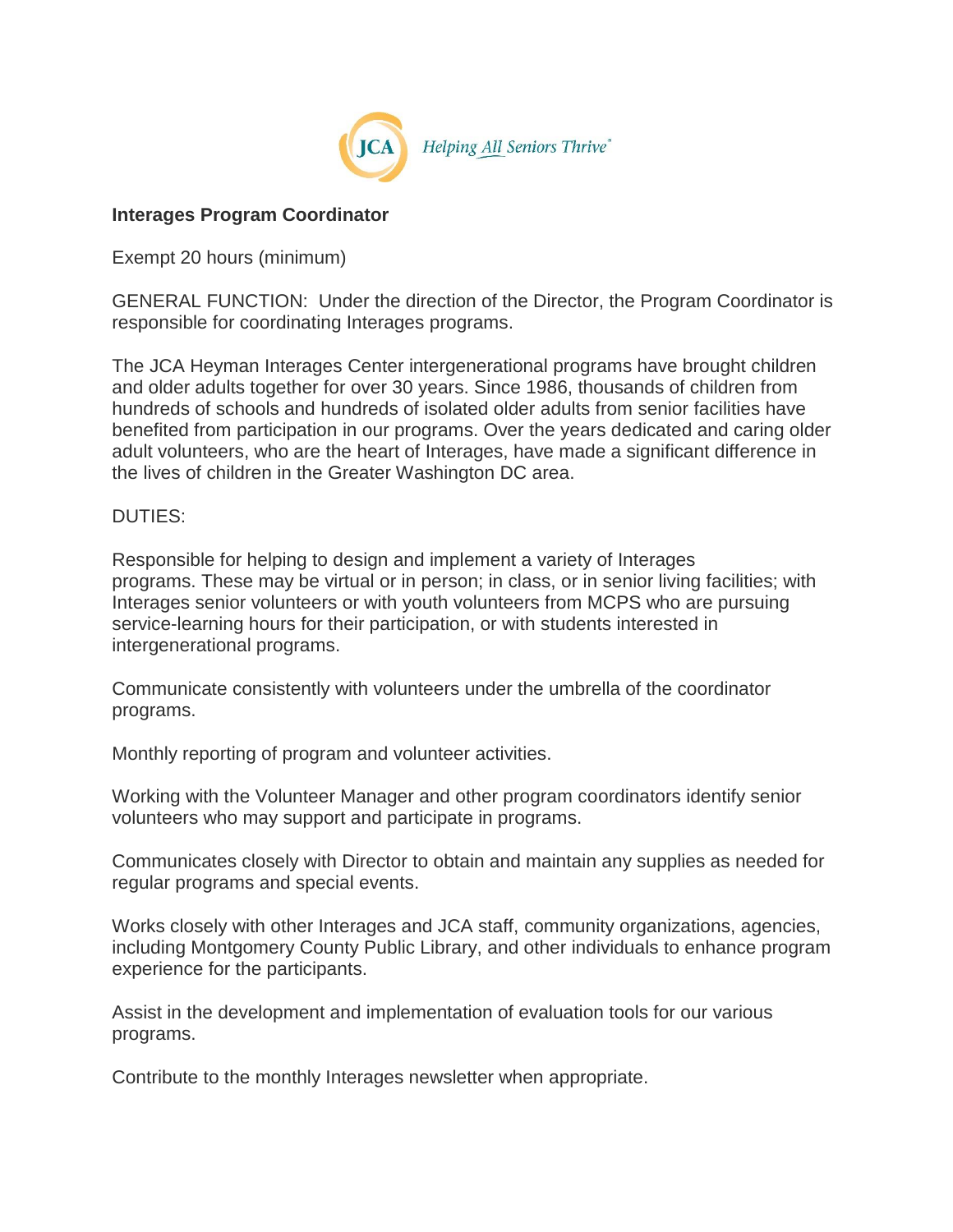

## **Interages Program Coordinator**

Exempt 20 hours (minimum)

GENERAL FUNCTION: Under the direction of the Director, the Program Coordinator is responsible for coordinating Interages programs.

The JCA Heyman Interages Center intergenerational programs have brought children and older adults together for over 30 years. Since 1986, thousands of children from hundreds of schools and hundreds of isolated older adults from senior facilities have benefited from participation in our programs. Over the years dedicated and caring older adult volunteers, who are the heart of Interages, have made a significant difference in the lives of children in the Greater Washington DC area.

## DUTIES:

Responsible for helping to design and implement a variety of Interages programs. These may be virtual or in person; in class, or in senior living facilities; with Interages senior volunteers or with youth volunteers from MCPS who are pursuing service-learning hours for their participation, or with students interested in intergenerational programs.

Communicate consistently with volunteers under the umbrella of the coordinator programs.

Monthly reporting of program and volunteer activities.

Working with the Volunteer Manager and other program coordinators identify senior volunteers who may support and participate in programs.

Communicates closely with Director to obtain and maintain any supplies as needed for regular programs and special events.

Works closely with other Interages and JCA staff, community organizations, agencies, including Montgomery County Public Library, and other individuals to enhance program experience for the participants.

Assist in the development and implementation of evaluation tools for our various programs.

Contribute to the monthly Interages newsletter when appropriate.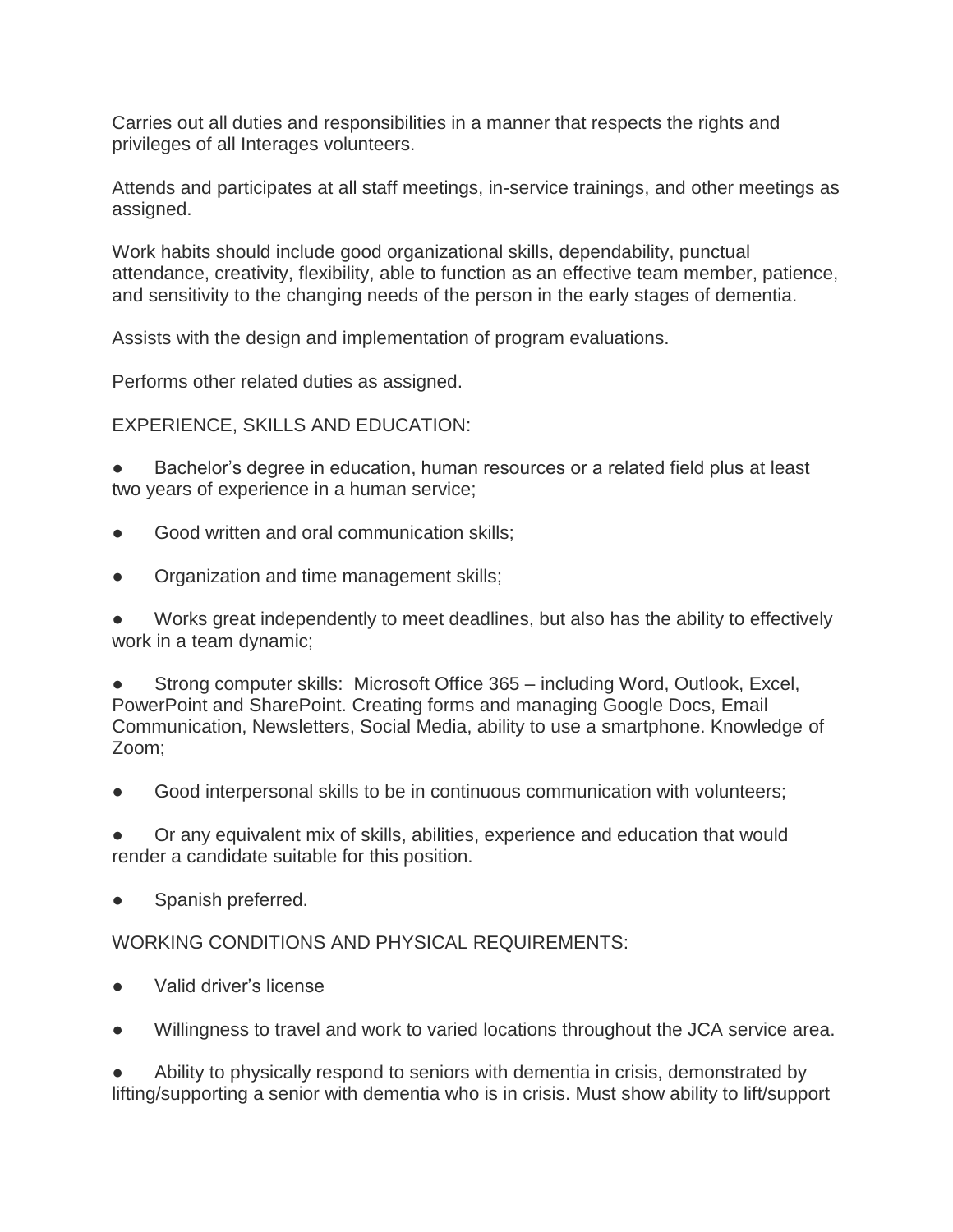Carries out all duties and responsibilities in a manner that respects the rights and privileges of all Interages volunteers.

Attends and participates at all staff meetings, in-service trainings, and other meetings as assigned.

Work habits should include good organizational skills, dependability, punctual attendance, creativity, flexibility, able to function as an effective team member, patience, and sensitivity to the changing needs of the person in the early stages of dementia.

Assists with the design and implementation of program evaluations.

Performs other related duties as assigned.

EXPERIENCE, SKILLS AND EDUCATION:

Bachelor's degree in education, human resources or a related field plus at least two years of experience in a human service;

- Good written and oral communication skills:
- Organization and time management skills;

Works great independently to meet deadlines, but also has the ability to effectively work in a team dynamic;

Strong computer skills: Microsoft Office 365 – including Word, Outlook, Excel, PowerPoint and SharePoint. Creating forms and managing Google Docs, Email Communication, Newsletters, Social Media, ability to use a smartphone. Knowledge of Zoom;

Good interpersonal skills to be in continuous communication with volunteers;

● Or any equivalent mix of skills, abilities, experience and education that would render a candidate suitable for this position.

Spanish preferred.

WORKING CONDITIONS AND PHYSICAL REQUIREMENTS:

- Valid driver's license
- Willingness to travel and work to varied locations throughout the JCA service area.

Ability to physically respond to seniors with dementia in crisis, demonstrated by lifting/supporting a senior with dementia who is in crisis. Must show ability to lift/support